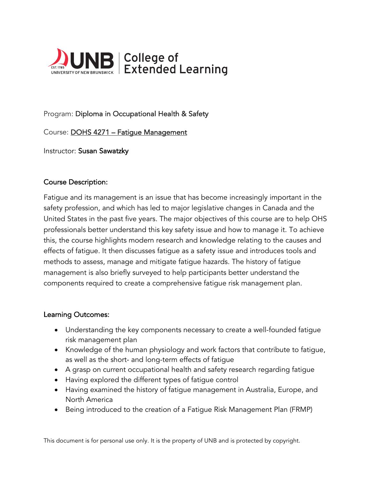

# Program: Diploma in Occupational Health & Safety

Course: DOHS 4271 – Fatigue Management

Instructor: Susan Sawatzky

## Course Description:

Fatigue and its management is an issue that has become increasingly important in the safety profession, and which has led to major legislative changes in Canada and the United States in the past five years. The major objectives of this course are to help OHS professionals better understand this key safety issue and how to manage it. To achieve this, the course highlights modern research and knowledge relating to the causes and effects of fatigue. It then discusses fatigue as a safety issue and introduces tools and methods to assess, manage and mitigate fatigue hazards. The history of fatigue management is also briefly surveyed to help participants better understand the components required to create a comprehensive fatigue risk management plan.

#### Learning Outcomes:

- Understanding the key components necessary to create a well-founded fatigue risk management plan
- Knowledge of the human physiology and work factors that contribute to fatigue, as well as the short- and long-term effects of fatigue
- A grasp on current occupational health and safety research regarding fatigue
- Having explored the different types of fatigue control
- Having examined the history of fatigue management in Australia, Europe, and North America
- Being introduced to the creation of a Fatigue Risk Management Plan (FRMP)

This document is for personal use only. It is the property of UNB and is protected by copyright.